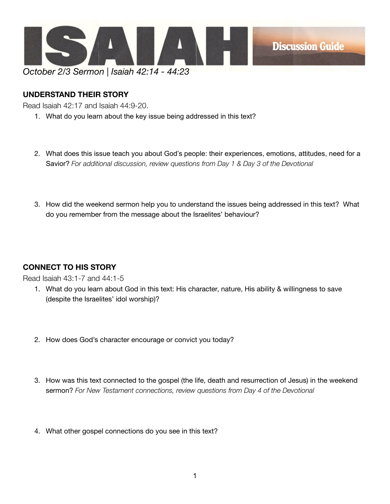

## **UNDERSTAND THEIR STORY**

Read Isaiah 42:17 and Isaiah 44:9-20.

- 1. What do you learn about the key issue being addressed in this text?
- 2. What does this issue teach you about God's people: their experiences, emotions, attitudes, need for a Savior? *For additional discussion, review questions from Day 1 & Day 3 of the Devotional*
- 3. How did the weekend sermon help you to understand the issues being addressed in this text? What do you remember from the message about the Israelites' behaviour?

## **CONNECT TO HIS STORY**

Read Isaiah 43:1-7 and 44:1-5

- 1. What do you learn about God in this text: His character, nature, His ability & willingness to save (despite the Israelites' idol worship)?
- 2. How does God's character encourage or convict you today?
- 3. How was this text connected to the gospel (the life, death and resurrection of Jesus) in the weekend sermon? *For New Testament connections, review questions from Day 4 of the Devotional*
- 4. What other gospel connections do you see in this text?